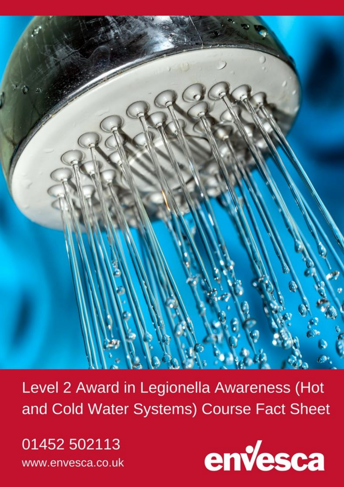

Level 2 Award in Legionella Awareness (Hot and Cold Water Systems) Course Fact Sheet

01452 502113 www.envesca.co.uk

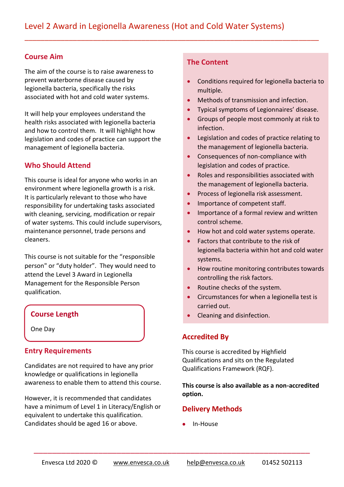$\overline{a}$  , and the component of the component of the component of the component of the component of the component of the component of the component of the component of the component of the component of the component of th

#### **Course Aim**

The aim of the course is to raise awareness to prevent waterborne disease caused by legionella bacteria, specifically the risks associated with hot and cold water systems.

It will help your employees understand the health risks associated with legionella bacteria and how to control them. It will highlight how legislation and codes of practice can support the management of legionella bacteria.

### **Who Should Attend**

This course is ideal for anyone who works in an environment where legionella growth is a risk. It is particularly relevant to those who have responsibility for undertaking tasks associated with cleaning, servicing, modification or repair of water systems. This could include supervisors, maintenance personnel, trade persons and cleaners.

This course is not suitable for the "responsible person" or "duty holder". They would need to attend the Level 3 Award in Legionella Management for the Responsible Person qualification.

One Day

#### **Entry Requirements**

Candidates are not required to have any prior knowledge or qualifications in legionella awareness to enable them to attend this course.

However, it is recommended that candidates have a minimum of Level 1 in Literacy/English or equivalent to undertake this qualification. Candidates should be aged 16 or above.

#### **The Content**

- Conditions required for legionella bacteria to multiple.
- Methods of transmission and infection.
- Typical symptoms of Legionnaires' disease.
- Groups of people most commonly at risk to infection.
- Legislation and codes of practice relating to the management of legionella bacteria.
- Consequences of non-compliance with legislation and codes of practice.
- Roles and responsibilities associated with the management of legionella bacteria.
- Process of legionella risk assessment.
- Importance of competent staff.
- Importance of a formal review and written control scheme.
- How hot and cold water systems operate.
- Factors that contribute to the risk of legionella bacteria within hot and cold water systems.
- How routine monitoring contributes towards controlling the risk factors.
- Routine checks of the system.
- Circumstances for when a legionella test is carried out.
- **Course Length Course Length Cleaning and disinfection.**

#### **Accredited By**

This course is accredited by Highfield Qualifications and sits on the Regulated Qualifications Framework (RQF).

**This course is also available as a non-accredited option.**

#### **Delivery Methods**

In-House

 $\overline{\phantom{a}}$  , and the contract of the contract of the contract of the contract of the contract of the contract of the contract of the contract of the contract of the contract of the contract of the contract of the contrac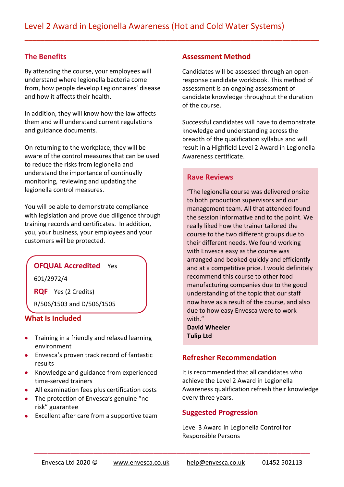$\overline{a}$  , and the component of the component of the component of the component of the component of the component of the component of the component of the component of the component of the component of the component of th

#### **The Benefits**

By attending the course, your employees will understand where legionella bacteria come from, how people develop Legionnaires' disease and how it affects their health.

In addition, they will know how the law affects them and will understand current regulations and guidance documents.

On returning to the workplace, they will be aware of the control measures that can be used to reduce the risks from legionella and understand the importance of continually monitoring, reviewing and updating the legionella control measures.

You will be able to demonstrate compliance with legislation and prove due diligence through training records and certificates. In addition, you, your business, your employees and your customers will be protected.

#### **OFQUAL Accredited** Yes

601/2972/4

**RQF** Yes (2 Credits)

R/506/1503 and D/506/1505

#### **What Is Included**

- **•** Training in a friendly and relaxed learning environment
- **Envesca's proven track record of fantastic** results
- Knowledge and guidance from experienced time-served trainers
- All examination fees plus certification costs
- The protection of Envesca's genuine "no risk" guarantee
- Excellent after care from a supportive team

#### **Assessment Method**

Candidates will be assessed through an openresponse candidate workbook. This method of assessment is an ongoing assessment of candidate knowledge throughout the duration of the course.

Successful candidates will have to demonstrate knowledge and understanding across the breadth of the qualification syllabus and will result in a Highfield Level 2 Award in Legionella Awareness certificate.

#### **Rave Reviews**

"The legionella course was delivered onsite to both production supervisors and our management team. All that attended found the session informative and to the point. We really liked how the trainer tailored the course to the two different groups due to their different needs. We found working with Envesca easy as the course was arranged and booked quickly and efficiently and at a competitive price. I would definitely recommend this course to other food manufacturing companies due to the good understanding of the topic that our staff now have as a result of the course, and also due to how easy Envesca were to work with." **David Wheeler**

**Tulip Ltd**

#### **Refresher Recommendation**

It is recommended that all candidates who achieve the Level 2 Award in Legionella Awareness qualification refresh their knowledge every three years.

#### **Suggested Progression**

Level 3 Award in Legionella Control for Responsible Persons

 $\overline{\phantom{a}}$  , and the contract of the contract of the contract of the contract of the contract of the contract of the contract of the contract of the contract of the contract of the contract of the contract of the contrac